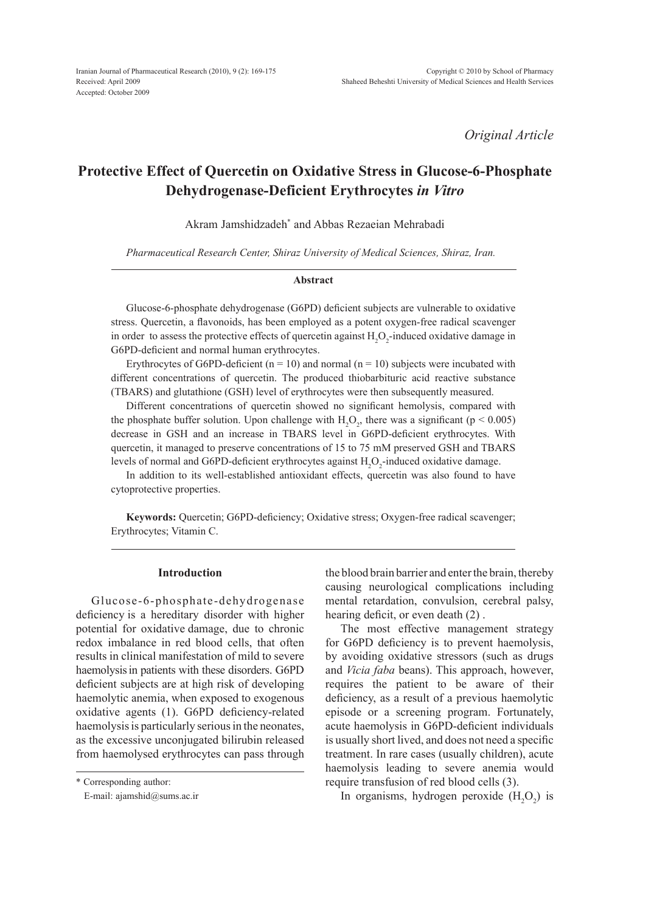*Original Article*

# **Protective Effect of Quercetin on Oxidative Stress in Glucose-6-Phosphate Dehydrogenase-Deficient Erythrocytes** *in Vitro*

Akram Jamshidzadeh\* and Abbas Rezaeian Mehrabadi

*Pharmaceutical Research Center, Shiraz University of Medical Sciences, Shiraz, Iran.*

#### **Abstract**

Glucose-6-phosphate dehydrogenase (G6PD) deficient subjects are vulnerable to oxidative stress. Quercetin, a flavonoids, has been employed as a potent oxygen-free radical scavenger in order to assess the protective effects of quercetin against  $H_2O_2$ -induced oxidative damage in G6PD-deficient and normal human erythrocytes.

Erythrocytes of G6PD-deficient ( $n = 10$ ) and normal ( $n = 10$ ) subjects were incubated with different concentrations of quercetin. The produced thiobarbituric acid reactive substance (TBARS) and glutathione (GSH) level of erythrocytes were then subsequently measured.

Different concentrations of quercetin showed no significant hemolysis, compared with the phosphate buffer solution. Upon challenge with  $H_2O_2$ , there was a significant (p < 0.005) decrease in GSH and an increase in TBARS level in G6PD-deficient erythrocytes. With quercetin, it managed to preserve concentrations of 15 to 75 mM preserved GSH and TBARS levels of normal and G6PD-deficient erythrocytes against  $H_2O_2$ -induced oxidative damage.

In addition to its well-established antioxidant effects, quercetin was also found to have cytoprotective properties.

**Keywords:** Quercetin; G6PD-deficiency; Oxidative stress; Oxygen-free radical scavenger; Erythrocytes; Vitamin C.

## **Introduction**

Glucose-6-phosphate-dehydrogenase deficiency is a hereditary disorder with higher potential for oxidative damage, due to chronic redox imbalance in red blood cells, that often results in clinical manifestation of mild to severe haemolysisin patients with these disorders. G6PD deficient subjects are at high risk of developing haemolytic anemia, when exposed to exogenous oxidative agents (1). G6PD deficiency-related haemolysis is particularly serious in the neonates, as the excessive unconjugated bilirubin released from haemolysed erythrocytes can pass through

\* Corresponding author:

E-mail: ajamshid@sums.ac.ir

the blood brain barrier and enter the brain, thereby causing neurological complications including mental retardation, convulsion, cerebral palsy, hearing deficit, or even death (2) .

The most effective management strategy for G6PD deficiency is to prevent haemolysis, by avoiding oxidative stressors (such as drugs and *Vicia faba* beans). This approach, however, requires the patient to be aware of their deficiency, as a result of a previous haemolytic episode or a screening program. Fortunately, acute haemolysis in G6PD-deficient individuals is usually short lived, and does not need a specific treatment. In rare cases (usually children), acute haemolysis leading to severe anemia would require transfusion of red blood cells (3).

In organisms, hydrogen peroxide  $(H_2O_2)$  is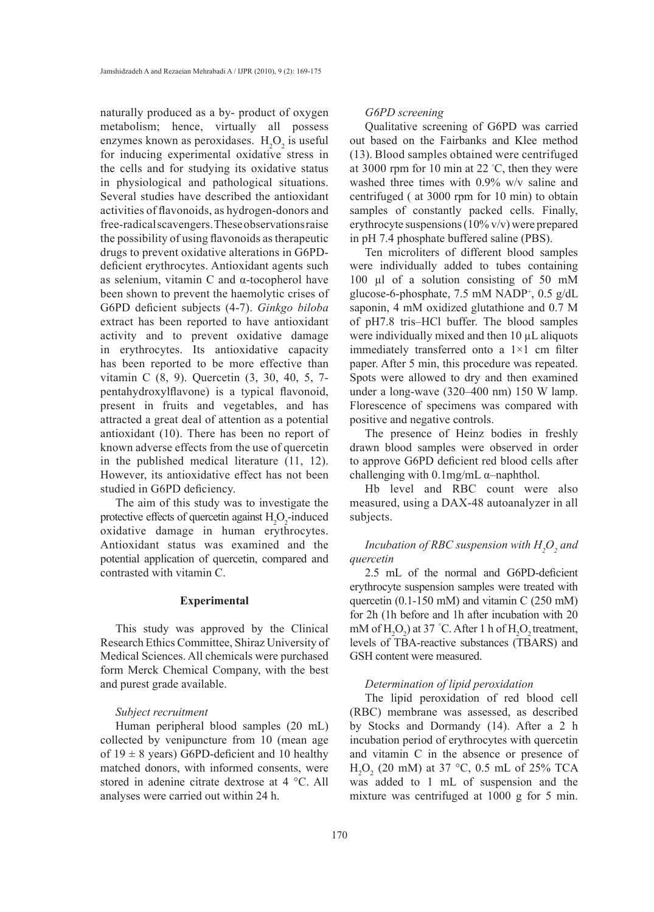naturally produced as a by- product of oxygen metabolism; hence, virtually all possess enzymes known as peroxidases.  $H_2O_2$  is useful for inducing experimental oxidative stress in the cells and for studying its oxidative status in physiological and pathological situations. Several studies have described the antioxidant activities of flavonoids, as hydrogen-donors and free-radical scavengers. These observations raise the possibility of using flavonoids as therapeutic drugs to prevent oxidative alterations in G6PDdeficient erythrocytes. Antioxidant agents such as selenium, vitamin C and α-tocopherol have been shown to prevent the haemolytic crises of G6PD deficient subjects (4-7). *Ginkgo biloba* extract has been reported to have antioxidant activity and to prevent oxidative damage in erythrocytes. Its antioxidative capacity has been reported to be more effective than vitamin C (8, 9). Quercetin (3, 30, 40, 5, 7 pentahydroxylflavone) is a typical flavonoid, present in fruits and vegetables, and has attracted a great deal of attention as a potential antioxidant (10). There has been no report of known adverse effects from the use of quercetin in the published medical literature (11, 12). However, its antioxidative effect has not been studied in G6PD deficiency.

The aim of this study was to investigate the protective effects of quercetin against  $H_2O_2$ -induced oxidative damage in human erythrocytes. Antioxidant status was examined and the potential application of quercetin, compared and contrasted with vitamin C.

# **Experimental**

This study was approved by the Clinical Research Ethics Committee, Shiraz University of Medical Sciences. All chemicals were purchased form Merck Chemical Company, with the best and purest grade available.

## *Subject recruitment*

Human peripheral blood samples (20 mL) collected by venipuncture from 10 (mean age of  $19 \pm 8$  years) G6PD-deficient and 10 healthy matched donors, with informed consents, were stored in adenine citrate dextrose at 4 °C. All analyses were carried out within 24 h.

## *G6PD screening*

Qualitative screening of G6PD was carried out based on the Fairbanks and Klee method (13). Blood samples obtained were centrifuged at 3000 rpm for 10 min at 22 ° C, then they were washed three times with 0.9% w/v saline and centrifuged ( at 3000 rpm for 10 min) to obtain samples of constantly packed cells. Finally, erythrocyte suspensions (10% v/v) were prepared in pH 7.4 phosphate buffered saline (PBS).

Ten microliters of different blood samples were individually added to tubes containing 100 µl of a solution consisting of 50 mM glucose-6-phosphate, 7.5 mM NADP<sup>+</sup> , 0.5 g/dL saponin, 4 mM oxidized glutathione and 0.7 M of pH7.8 tris–HCl buffer. The blood samples were individually mixed and then 10  $\mu$ L aliquots immediately transferred onto a 1×1 cm filter paper. After 5 min, this procedure was repeated. Spots were allowed to dry and then examined under a long-wave (320–400 nm) 150 W lamp. Florescence of specimens was compared with positive and negative controls.

The presence of Heinz bodies in freshly drawn blood samples were observed in order to approve G6PD deficient red blood cells after challenging with  $0.1$ mg/mL  $\alpha$ -naphthol.

Hb level and RBC count were also measured, using a DAX-48 autoanalyzer in all subjects.

# *Incubation of RBC suspension with*  $H_2O_2$  *and quercetin*

2.5 mL of the normal and G6PD-deficient erythrocyte suspension samples were treated with quercetin (0.1-150 mM) and vitamin C (250 mM) for 2h (1h before and 1h after incubation with 20 mM of  $H_2O_2$ ) at 37 °C. After 1 h of  $H_2O_2$  treatment, levels of TBA-reactive substances (TBARS) and GSH content were measured.

# *Determination of lipid peroxidation*

The lipid peroxidation of red blood cell (RBC) membrane was assessed, as described by Stocks and Dormandy (14). After a 2 h incubation period of erythrocytes with quercetin and vitamin C in the absence or presence of  $H_2O_2$  (20 mM) at 37 °C, 0.5 mL of 25% TCA was added to 1 mL of suspension and the mixture was centrifuged at 1000 g for 5 min.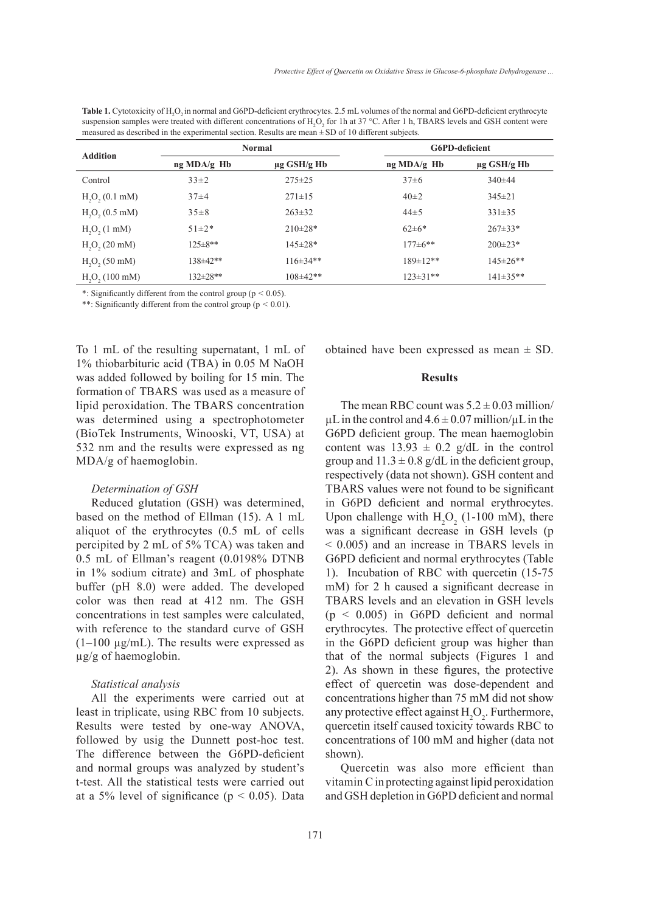| measured as described in the experimental section. Results are mean $\pm$ SD of 10 different subjects. |                |                  |                |                  |  |  |  |
|--------------------------------------------------------------------------------------------------------|----------------|------------------|----------------|------------------|--|--|--|
| <b>Addition</b>                                                                                        | <b>Normal</b>  |                  | G6PD-deficient |                  |  |  |  |
|                                                                                                        | ng MDA/g Hb    | $\mu$ g GSH/g Hb | ng MDA/g Hb    | $\mu$ g GSH/g Hb |  |  |  |
| Control                                                                                                | $33\pm2$       | $275 \pm 25$     | $37\pm 6$      | $340 \pm 44$     |  |  |  |
| H <sub>2</sub> O <sub>2</sub> (0.1 mM)                                                                 | $37\pm4$       | $271 \pm 15$     | $40\pm 2$      | $345 \pm 21$     |  |  |  |
| H <sub>2</sub> O <sub>2</sub> (0.5 mM)                                                                 | $35 \pm 8$     | $263 \pm 32$     | $44\pm 5$      | $331\pm35$       |  |  |  |
| H <sub>2</sub> O <sub>2</sub> (1 mM)                                                                   | $51 \pm 2*$    | $210 \pm 28*$    | $62 \pm 6*$    | $267 \pm 33*$    |  |  |  |
| $H2O2 (20$ mM)                                                                                         | $125 \pm 8**$  | 145±28*          | $177 \pm 6**$  | $200 \pm 23*$    |  |  |  |
| H <sub>2</sub> O <sub>2</sub> (50 mM)                                                                  | $138 \pm 42**$ | $116\pm34**$     | $189 \pm 12**$ | $145 \pm 26$ **  |  |  |  |
| H <sub>2</sub> O <sub>2</sub> (100 mM)                                                                 | 132±28**       | $108 \pm 42**$   | $123 \pm 31**$ | $141\pm35**$     |  |  |  |

**Table 1.** Cytotoxicity of H<sub>2</sub>O<sub>2</sub> in normal and G6PD-deficient erythrocytes. 2.5 mL volumes of the normal and G6PD-deficient erythrocyte suspension samples were treated with different concentrations of  $H_2O_2$  for 1h at 37 °C. After 1 h, TBARS levels and GSH content were

\*: Significantly different from the control group (p < 0.05).

\*\*: Significantly different from the control group ( $p \le 0.01$ ).

To 1 mL of the resulting supernatant, 1 mL of 1% thiobarbituric acid (TBA) in 0.05 M NaOH was added followed by boiling for 15 min. The formation of TBARS was used as a measure of lipid peroxidation. The TBARS concentration was determined using a spectrophotometer (BioTek Instruments, Winooski, VT, USA) at 532 nm and the results were expressed as ng MDA/g of haemoglobin.

### *Determination of GSH*

Reduced glutation (GSH) was determined, based on the method of Ellman (15). A 1 mL aliquot of the erythrocytes (0.5 mL of cells percipited by 2 mL of 5% TCA) was taken and 0.5 mL of Ellman's reagent (0.0198% DTNB in 1% sodium citrate) and 3mL of phosphate buffer (pH 8.0) were added. The developed color was then read at 412 nm. The GSH concentrations in test samples were calculated, with reference to the standard curve of GSH  $(1-100 \mu g/mL)$ . The results were expressed as µg/g of haemoglobin.

## *Statistical analysis*

All the experiments were carried out at least in triplicate, using RBC from 10 subjects. Results were tested by one-way ANOVA, followed by usig the Dunnett post-hoc test. The difference between the G6PD-deficient and normal groups was analyzed by student's t-test. All the statistical tests were carried out at a 5% level of significance ( $p < 0.05$ ). Data obtained have been expressed as mean  $\pm$  SD.

## **Results**

The mean RBC count was  $5.2 \pm 0.03$  million/  $\mu$ L in the control and  $4.6 \pm 0.07$  million/ $\mu$ L in the G6PD deficient group. The mean haemoglobin content was  $13.93 \pm 0.2$  g/dL in the control group and  $11.3 \pm 0.8$  g/dL in the deficient group, respectively (data not shown). GSH content and TBARS values were not found to be significant in G6PD deficient and normal erythrocytes. Upon challenge with  $H_2O_2$  (1-100 mM), there was a significant decrease in GSH levels (p < 0.005) and an increase in TBARS levels in G6PD deficient and normal erythrocytes (Table 1). Incubation of RBC with quercetin (15-75 mM) for 2 h caused a significant decrease in TBARS levels and an elevation in GSH levels (p < 0.005) in G6PD deficient and normal erythrocytes. The protective effect of quercetin in the G6PD deficient group was higher than that of the normal subjects (Figures 1 and 2). As shown in these figures, the protective effect of quercetin was dose-dependent and concentrations higher than 75 mM did not show any protective effect against  $H_2O_2$ . Furthermore, quercetin itself caused toxicity towards RBC to concentrations of 100 mM and higher (data not shown).

Quercetin was also more efficient than vitamin C in protecting against lipid peroxidation and GSH depletion in G6PD deficient and normal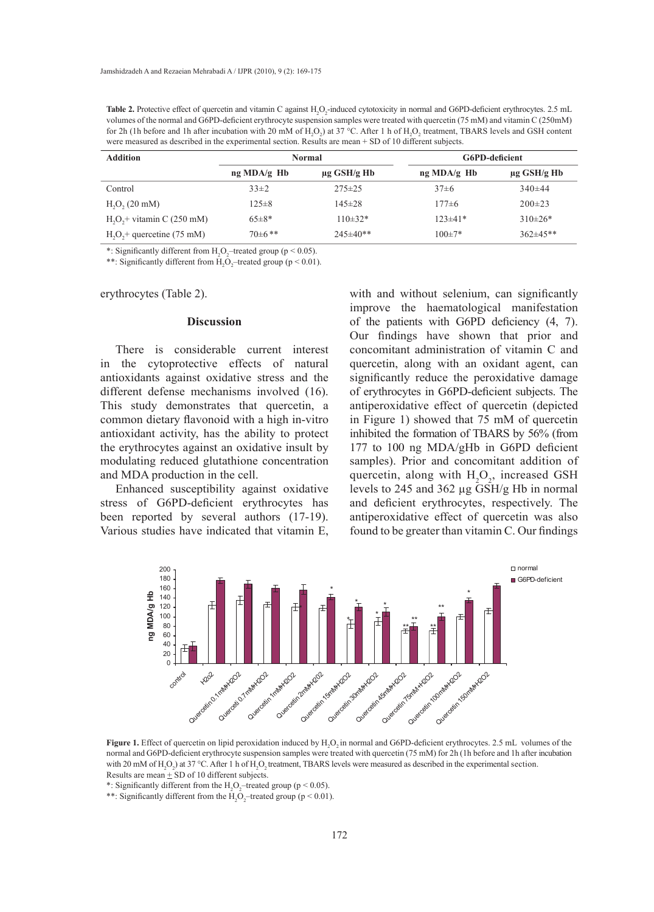**Table 2.** Protective effect of quercetin and vitamin C against  $H_2O_2$ -induced cytotoxicity in normal and G6PD-deficient erythrocytes. 2.5 mL volumes of the normal and G6PD-deficient erythrocyte suspension samples were treated with quercetin (75 mM) and vitamin C (250mM) for 2h (1h before and 1h after incubation with 20 mM of  $H_2O_2$ ) at 37 °C. After 1 h of  $H_2O_2$  treatment, TBARS levels and GSH content were measured as described in the experimental section. Results are mean + SD of 10 different subjects.

| <b>Addition</b>             | <b>Normal</b> |                  | G6PD-deficient |                  |
|-----------------------------|---------------|------------------|----------------|------------------|
|                             | ng MDA/g Hb   | $\mu$ g GSH/g Hb | ng MDA/g Hb    | $\mu$ g GSH/g Hb |
| Control                     | $33\pm2$      | $275 \pm 25$     | $37\pm 6$      | $340\pm44$       |
| $H2O2 (20$ mM)              | $125 \pm 8$   | $145 \pm 28$     | $177\pm 6$     | $200 \pm 23$     |
| $H2O2 + vitamin C (250 mM)$ | $65\pm8*$     | $110\pm32*$      | $123 \pm 41*$  | $310\pm26*$      |
| $H2O2$ + quercetine (75 mM) | $70\pm 6$ **  | $245 \pm 40**$   | $100 \pm 7*$   | $362\pm45**$     |

\*: Significantly different from  $H_2O_2$ -treated group (p < 0.05).

\*\*: Significantly different from  $H_2O_2$ -treated group (p < 0.01).

erythrocytes (Table 2). **Active** (Institute).

#### **Discussion**

There is considerable current interest in the cytoprotective effects of natural antioxidants against oxidative stress and the different defense mechanisms involved (16). This study demonstrates that quercetin, a common dietary flavonoid with a high in-vitro antioxidant activity, has the ability to protect the erythrocytes against an oxidative insult by modulating reduced glutathione concentration and MDA production in the cell.

Enhanced susceptibility against oxidative stress of G6PD-deficient erythrocytes has been reported by several authors (17-19). Various studies have indicated that vitamin E,

with and without selenium, can significantly improve the haematological manifestation of the patients with G6PD deficiency (4, 7). Our findings have shown that prior and concomitant administration of vitamin C and e cytoprotective effects of natural quercetin, along with an oxidant agent, can significantly reduce the peroxidative damage nt defense mechanisms involved (16). of erythrocytes in G6PD-deficient subjects. The antiperoxidative effect of quercetin (depicted on dietary flavonoid with a high in-vitro in Figure 1) showed that 75 mM of quercetin inhibited the formation of TBARS by 56% (from throcytes against an oxidative insult by 177 to 100 ng MDA/gHb in G6PD deficient samples). Prior and concomitant addition of quercetin, along with  $H_2O_2$ , increased GSH levels to 245 and 362 µg GSH/g Hb in normal and deficient erythrocytes, respectively. The antiperoxidative effect of quercetin was also found to be greater than vitamin C. Our findings



**Figure 1.** Effect of quercetin on lipid peroxidation induced by  $H_2O_2$  in normal and G6PD-deficient erythrocytes. 2.5 mL volumes of the normal and G6PD-deficient erythrocyte suspension samples were treated with quercetin (75 mM) for 2h (1h before and 1h after incubation with 20 mM of H<sub>2</sub>O<sub>2</sub>) at 37 °C. After 1 h of H<sub>2</sub>O<sub>2</sub> treatment, TBARS levels were measured as described in the experimental section. Results are mean  $\pm$  SD of 10 different subjects.

\*: Significantly different from the  $H_2O_2$ -treated group (p < 0.05).

\*\*: Significantly different from the  $H_2O_2$ -treated group (p < 0.01).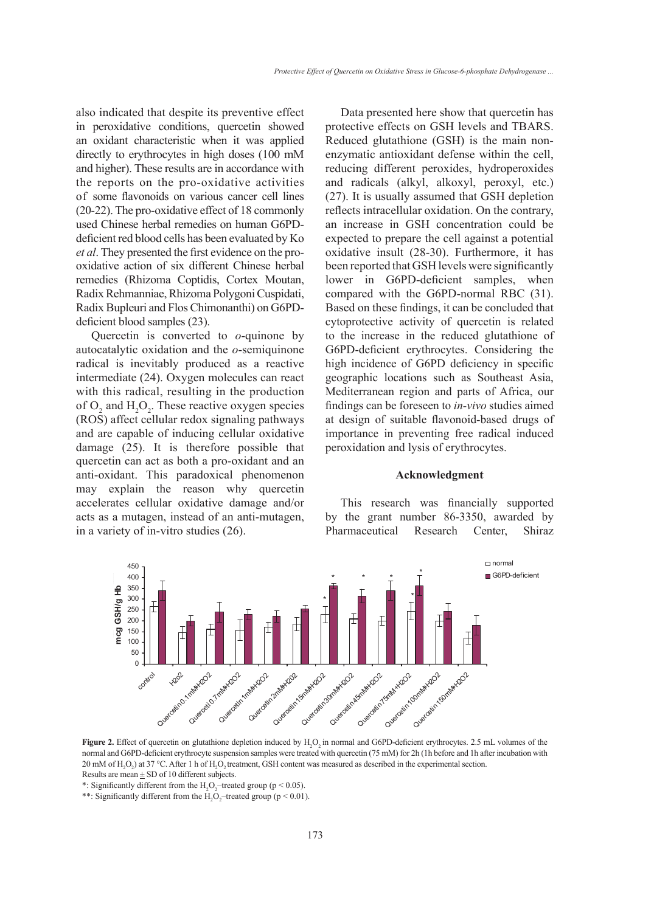in peroxidative conditions, quercetin showed an oxidant characteristic when it was applied directly to erythrocytes in high doses (100 mM and higher). These results are in accordance with the reports on the pro-oxidative activities of some flavonoids on various cancer cell lines (20-22). The pro-oxidative effect of 18 commonly used Chinese herbal remedies on human G6PDdeficient red blood cells has been evaluated by Ko *et al*. They presented the first evidence on the prooxidative action of six different Chinese herbal remedies (Rhizoma Coptidis, Cortex Moutan, Radix Rehmanniae, Rhizoma Polygoni Cuspidati, Radix Bupleuri and Flos Chimonanthi) on G6PDdeficient blood samples (23). 200

Quercetin is converted to  $o$ -quinone by autocatalytic oxidation and the *o*-semiquinone radical is inevitably produced as a reactive intermediate (24). Oxygen molecules can react with this radical, resulting in the production of  $O_2$  and  $H_2O_2$ . These reactive oxygen species  $(ROS)$  affect cellular redox signaling pathways and are capable of inducing cellular oxidative damage (25). It is therefore possible that quercetin can act as both a pro-oxidant and an anti-oxidant. This paradoxical phenomenon may explain the reason why quercetin accelerates cellular oxidative damage and/or acts as a mutagen, instead of an anti-mutagen, in a variety of in-vitro studies (26).  $\cdot$ 140 These reactive oxygen species<br>
ular redox signaling pathways<br>
of inducing cellular oxidative<br>
t is therefore possible that<br>
t as both a pro oxidant and an r c<br>
uly<br>
is<br>
i

also indicated that despite its preventive effect Data presented here show that quercetin has Data presented here show that quercetin has protective effects on GSH levels and TBARS. xidant characteristic when it was applied Reduced glutathione (GSH) is the main nonenzymatic antioxidant defense within the cell, igher). These results are in accordance with reducing different peroxides, hydroperoxides is a study of the mean existence of the mean existence of the mean existence of the mean existence of the mean existence of the mean and radicals (alkyl, alkoxyl, peroxyl, etc.) (27). It is usually assumed that GSH depletion reflects intracellular oxidation. On the contrary, an increase in GSH concentration could be expected to prepare the cell against a potential oxidative insult (28-30). Furthermore, it has been reported that GSH levels were significantly lower in G6PD-deficient samples, when compared with the G6PD-normal RBC (31). Based on these findings, it can be concluded that cytoprotective activity of quercetin is related to the increase in the reduced glutathione of  $\tilde{a}$ G6PD-deficient erythrocytes. Considering the bigh incidence of G6PD deficiency in specific geographic locations such as Southeast Asia, Mediterranean region and parts of Africa, our findings can be foreseen to *in-vivo* studies aimed at design of suitable flavonoid-based drugs of importance in preventing free radical induced person to the three states are the three states are at design of suitable flavonoid-based importance in preventing free radica peroxidation and lysis of erythrocytes.

## **Acknowledgment**

This research was financially supported by the grant number 86-3350, awarded by Pharmaceutical Research Center, Shiraz



**Figure 2.** Effect of quercetin on glutathione depletion induced by  $H_2O_2$  in normal and G6PD-deficient erythrocytes. 2.5 mL volumes of the normal and G6PD-deficient erythrocyte suspension samples were treated with quercetin (75 mM) for 2h (1h before and 1h after incubation with 20 mM of  $H_2O_2$ ) at 37 °C. After 1 h of  $H_2O_2$  treatment, GSH content was measured as described in the experimental section. Results are mean  $\pm$  SD of 10 different subjects.

\*: Significantly different from the  $H_2O_2$ -treated group (p < 0.05).

\*\*: Significantly different from the  $H_2O_2$ -treated group (p < 0.01).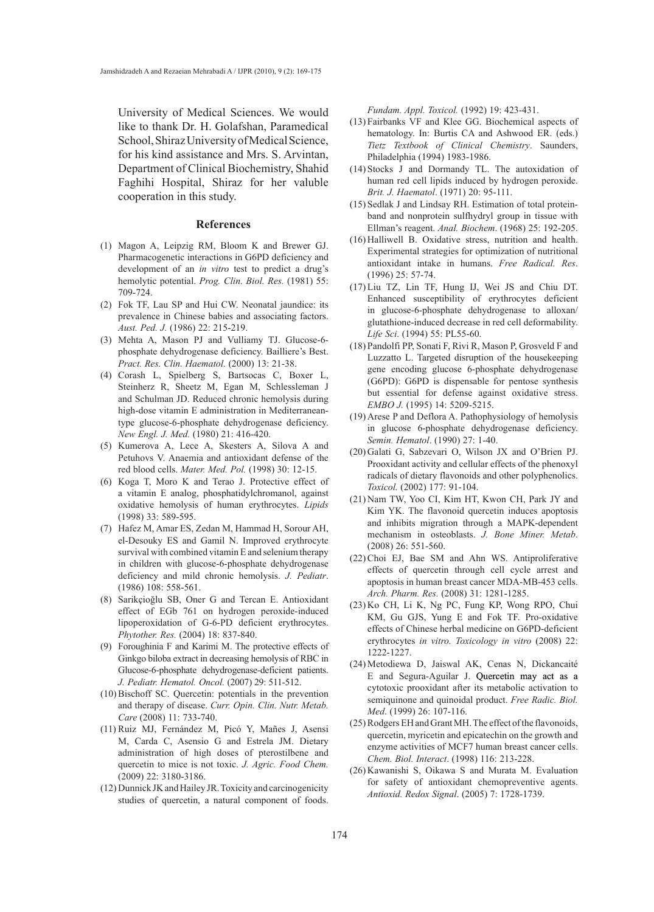University of Medical Sciences. We would like to thank Dr. H. Golafshan, Paramedical School, Shiraz University of Medical Science, for his kind assistance and Mrs. S. Arvintan, Department of Clinical Biochemistry, Shahid Faghihi Hospital, Shiraz for her valuble cooperation in this study.

#### **References**

- Magon A, Leipzig RM, Bloom K and Brewer GJ. (1) Pharmacogenetic interactions in G6PD deficiency and development of an *in vitro* test to predict a drug's hemolytic potential. *Prog. Clin. Biol. Res.* (1981) 55: 709-724.
- Fok TF, Lau SP and Hui CW. Neonatal jaundice: its (2) prevalence in Chinese babies and associating factors. *Aust. Ped. J.* (1986) 22: 215-219.
- (3) Mehta A, Mason PJ and Vulliamy TJ. Glucose-6phosphate dehydrogenase deficiency. Bailliere's Best. *Pract. Res. Clin. Haematol.* (2000) 13: 21-38.
- (4) Corash L, Spielberg S, Bartsocas C, Boxer L, Steinherz R, Sheetz M, Egan M, Schlessleman J and Schulman JD. Reduced chronic hemolysis during high-dose vitamin E administration in Mediterraneantype glucose-6-phosphate dehydrogenase deficiency. *New Engl. J. Med.* (1980) 21: 416-420.
- (5) Kumerova A, Lece A, Skesters A, Silova A and Petuhovs V. Anaemia and antioxidant defense of the red blood cells. *Mater. Med. Pol.* (1998) 30: 12-15.
- (6) Koga T, Moro K and Terao J. Protective effect of a vitamin E analog, phosphatidylchromanol, against oxidative hemolysis of human erythrocytes. *Lipids* (1998) 33: 589-595.
- (7) Hafez M, Amar ES, Zedan M, Hammad H, Sorour AH, el-Desouky ES and Gamil N. Improved erythrocyte survival with combined vitamin E and selenium therapy in children with glucose-6-phosphate dehydrogenase deficiency and mild chronic hemolysis. *J. Pediatr*. (1986) 108: 558-561.
- Sarikçioğlu SB, Oner G and Tercan E. Antioxidant (8) effect of EGb 761 on hydrogen peroxide-induced lipoperoxidation of G-6-PD deficient erythrocytes. *Phytother. Res.* (2004) 18: 837-840.
- Foroughinia F and Karimi M. The protective effects of (9) Ginkgo biloba extract in decreasing hemolysis of RBC in Glucose-6-phosphate dehydrogenase-deficient patients. *J. Pediatr. Hematol. Oncol.* (2007) 29: 511-512.
- $(10)$  Bischoff SC. Quercetin: potentials in the prevention and therapy of disease. *Curr. Opin. Clin. Nutr. Metab. Care* (2008) 11: 733-740.
- (11) Ruiz MJ, Fernández M, Picó Y, Mañes J, Asensi M, Carda C, Asensio G and Estrela JM. Dietary administration of high doses of pterostilbene and quercetin to mice is not toxic. *J. Agric. Food Chem.*  (2009) 22: 3180-3186.
- (12) Dunnick JK and Hailey JR. Toxicity and carcinogenicity studies of quercetin, a natural component of foods.

*Fundam. Appl. Toxicol.* (1992) 19: 423-431.

- Fairbanks VF and Klee GG. Biochemical aspects of (13) hematology. In: Burtis CA and Ashwood ER. (eds.) *Tietz Textbook of Clinical Chemistry*. Saunders, Philadelphia (1994) 1983-1986.
- $(14)$  Stocks J and Dormandy TL. The autoxidation of human red cell lipids induced by hydrogen peroxide. *Brit. J. Haematol*. (1971) 20: 95-111.
- (15) Sedlak J and Lindsay RH. Estimation of total proteinband and nonprotein sulfhydryl group in tissue with Ellman's reagent. *Anal. Biochem*. (1968) 25: 192-205.
- $(16)$  Halliwell B. Oxidative stress, nutrition and health. Experimental strategies for optimization of nutritional antioxidant intake in humans. *Free Radical. Res*. (1996) 25: 57-74.
- $(17)$  Liu TZ, Lin TF, Hung IJ, Wei JS and Chiu DT. Enhanced susceptibility of erythrocytes deficient in glucose-6-phosphate dehydrogenase to alloxan/ glutathione-induced decrease in red cell deformability. *Life Sci*. (1994) 55: PL55-60.
- $(18)$  Pandolfi PP, Sonati F, Rivi R, Mason P, Grosveld F and Luzzatto L. Targeted disruption of the housekeeping gene encoding glucose 6-phosphate dehydrogenase (G6PD): G6PD is dispensable for pentose synthesis but essential for defense against oxidative stress. *EMBO J.* (1995) 14: 5209-5215.
- $(19)$  Arese P and Deflora A. Pathophysiology of hemolysis in glucose 6-phosphate dehydrogenase deficiency. *Semin. Hematol*. (1990) 27: 1-40.
- (20) Galati G, Sabzevari O, Wilson JX and O'Brien PJ. Prooxidant activity and cellular effects of the phenoxyl radicals of dietary flavonoids and other polyphenolics. *Toxicol.* (2002) 177: 91-104.
- (21) Nam TW, Yoo CI, Kim HT, Kwon CH, Park JY and Kim YK. The flavonoid quercetin induces apoptosis and inhibits migration through a MAPK-dependent mechanism in osteoblasts. *J. Bone Miner. Metab*. (2008) 26: 551-560.
- $(22)$  Choi EJ, Bae SM and Ahn WS. Antiproliferative effects of quercetin through cell cycle arrest and apoptosis in human breast cancer MDA-MB-453 cells. *Arch. Pharm. Res.* (2008) 31: 1281-1285.
- (23) Ko CH, Li K, Ng PC, Fung KP, Wong RPO, Chui KM, Gu GJS, Yung E and Fok TF. Pro-oxidative effects of Chinese herbal medicine on G6PD-deficient erythrocytes *in vitro. Toxicology in vitro* (2008) 22: 1222-1227.
- (24) Metodiewa D, Jaiswal AK, Cenas N, Dickancaité E and Segura-Aguilar J. Quercetin may act as a cytotoxic prooxidant after its metabolic activation to semiquinone and quinoidal product. *Free Radic. Biol. Med*. (1999) 26: 107-116.
- (25) Rodgers EH and Grant MH. The effect of the flavonoids, quercetin, myricetin and epicatechin on the growth and enzyme activities of MCF7 human breast cancer cells. *Chem. Biol. Interact*. (1998) 116: 213-228.
- (26) Kawanishi S, Oikawa S and Murata M. Evaluation for safety of antioxidant chemopreventive agents. *Antioxid. Redox Signal*. (2005) 7: 1728-1739.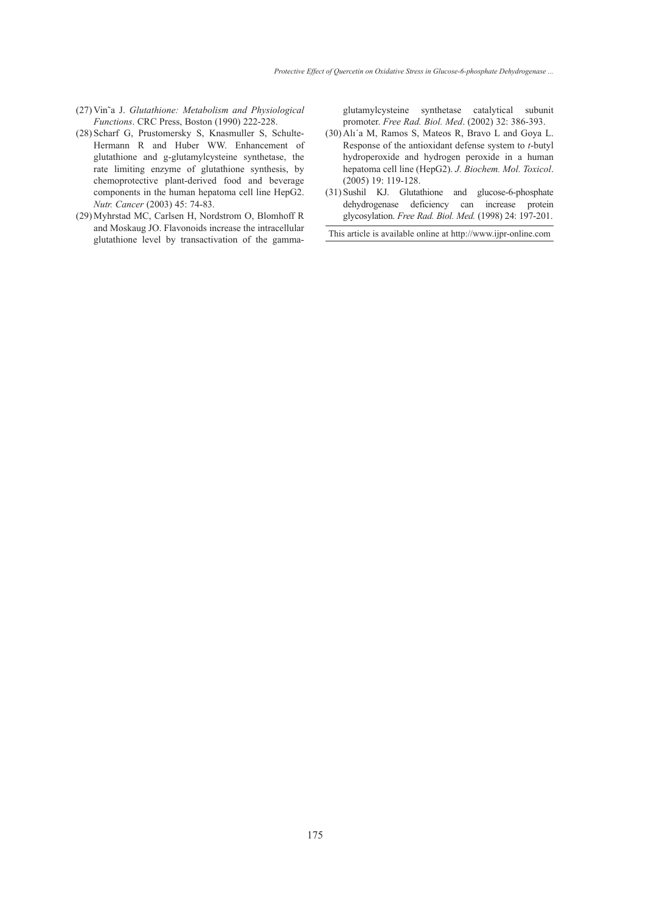- Vin˜a J. *Glutathione: Metabolism and Physiological*  (27) *Functions*. CRC Press, Boston (1990) 222-228.
- (28) Scharf G, Prustomersky S, Knasmuller S, Schulte-Hermann R and Huber WW. Enhancement of glutathione and g-glutamylcysteine synthetase, the rate limiting enzyme of glutathione synthesis, by chemoprotective plant-derived food and beverage components in the human hepatoma cell line HepG2. *Nutr. Cancer* (2003) 45: 74-83.
- (29) Myhrstad MC, Carlsen H, Nordstrom O, Blomhoff R and Moskaug JO. Flavonoids increase the intracellular glutathione level by transactivation of the gamma-

glutamylcysteine synthetase catalytical subunit promoter. *Free Rad. Biol. Med*. (2002) 32: 386-393.

- $(30)$  Alı'a M, Ramos S, Mateos R, Bravo L and Goya L. Response of the antioxidant defense system to *t*-butyl hydroperoxide and hydrogen peroxide in a human hepatoma cell line (HepG2). *J. Biochem. Mol. Toxicol*. (2005) 19: 119-128.
- (31) Sushil KJ. Glutathione and glucose-6-phosphate dehydrogenase deficiency can increase protein glycosylation. *Free Rad. Biol. Med.* (1998) 24: 197-201.

This article is available online at http://www.ijpr-online.com